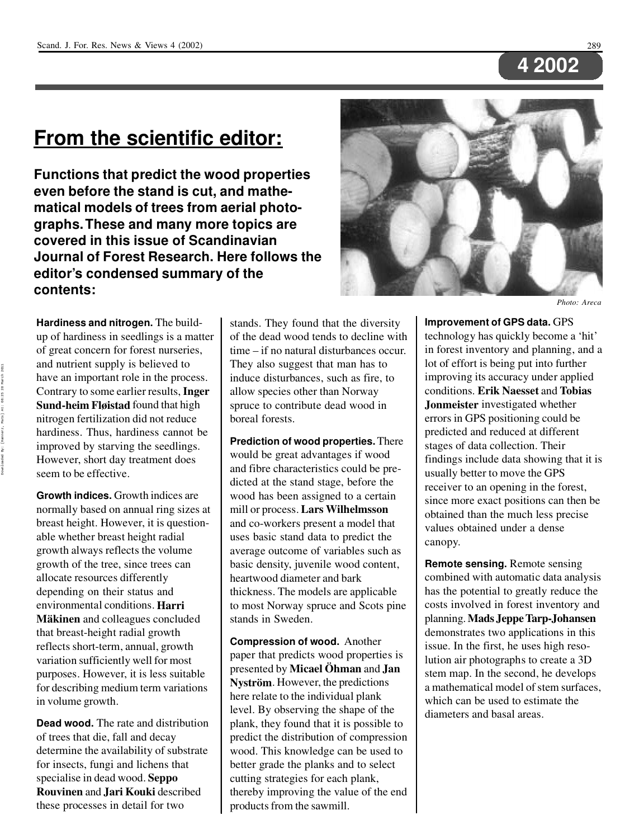## **4 2002**

## **From the scientific editor:**

**Hardiness and nitrogen.** The buildup of hardiness in seedlings is a matter of great concern for forest nurseries, and nutrient supply is believed to have an important role in the process. Contrary to some earlier results, **Inger Sund-heim Fløistad** found that high nitrogen fertilization did not reduce hardiness. Thus, hardiness cannot be improved by starving the seedlings. However, short day treatment does seem to be effective.

**Growth indices.** Growth indices are normally based on annual ring sizes at breast height. However, it is question able whether breast height radial growth always reflects the volume growth of the tree, since trees can allocate resources differently depending on their status and environmental conditions. **Harri Mäkinen** and colleagues concluded that breast-height radial growth reflects short-term, annual, growth variation sufficiently well for most purposes. However, it is less suitable for describing medium term variations in volume growth.

**Compression of wood.** Another paper that predicts wood properties is presented by **Micael Öhman** and **Jan Nyström**. However, the predictions here relate to the individual plank level. By observing the shape of the plank, they found that it is possible to predict the distribution of compression wood. This knowledge can be used to better grade the planks and to select cutting strategies for each plank, thereby improving the value of the end products from the sawmill.

**Dead wood.** The rate and distribution of trees that die, fall and decay determine the availability of substrate for insects, fungi and lichens that specialise in dead wood. **Seppo Rouvinen** and **Jari Kouki** described these processes in detail for two

stands. They found that the diversity of the dead wood tends to decline with time – if no natural disturbances occur. They also suggest that man has to induce disturbances, such as fire, to allow species other than Norway spruce to contribute dead wood in boreal forests.

**Prediction of wood properties.**There would be great advantages if wood and fibre characteristics could be pre dicted at the stand stage, before the wood has been assigned to a certain mill or process. **Lars Wilhelmsson** and co-workers present a model that uses basic stand data to predict the average outcome of variables such as basic density, juvenile wood content, heartwood diameter and bark thickness. The models are applicable to most Norway spruce and Scots pine stands in Sweden.

#### **Improvement of GPS data.** GPS

technology has quickly become a 'hit' in forest inventory and planning, and a lot of effort is being put into further improving its accuracy under applied conditions. **Erik Naesset** and **Tobias Jonmeister** investigated whether errors in GPS positioning could be predicted and reduced at different stages of data collection. Their findings include data showing that it is usually better to move the GPS receiver to an opening in the forest, since more exact positions can then be obtained than the much less precise values obtained under a dense canopy.

**Remote sensing.** Remote sensing combined with automatic data analysis has the potential to greatly reduce the costs involved in forest inventory and planning.**Mads JeppeTarp-Johansen** demonstrates two applications in this issue. In the first, he uses high resolution air photographs to create a 3D stem map. In the second, he develops a mathematical model of stem surfaces, which can be used to estimate the diameters and basal areas.

**Functions that predict the wood properties even before the stand is cut, and mathe matical models of trees from aerial photo graphs.These and many more topics are covered in this issue of Scandinavian Journal of Forest Research. Here follows the editor's condensed summary of the contents:**



*Photo: Areca*

Downloaded By: [Hannerz, Mats] At: 08:25 28 March 2011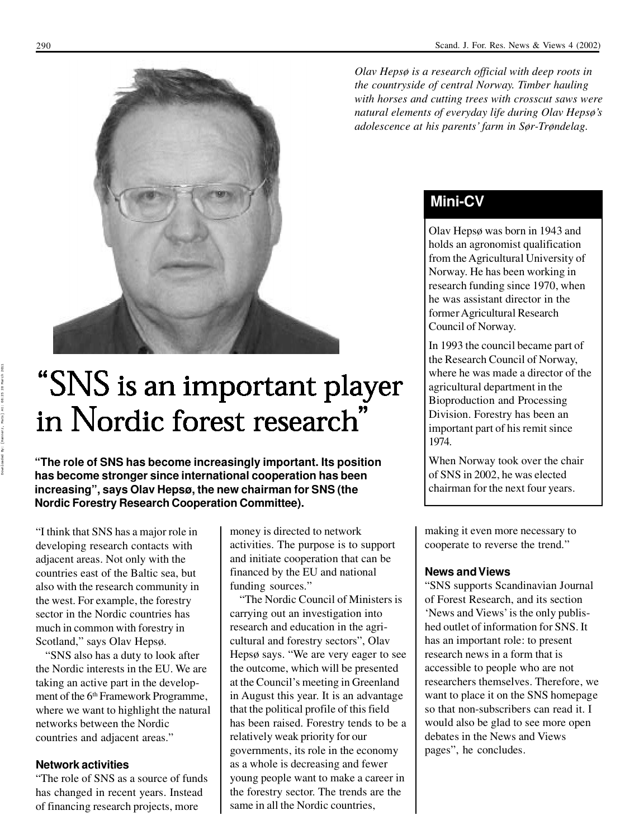"I think that SNS has a major role in developing research contacts with adjacent areas. Not only with the countries east of the Baltic sea, but also with the research community in the west. For example, the forestry sector in the Nordic countries has much in common with forestry in Scotland," says Olav Hepsø.

money is directed to network activities. The purpose is to support and initiate cooperation that can be financed by the EU and national funding sources."

"SNS also has a duty to look after the Nordic interests in the EU. We are taking an active part in the develop ment of the 6<sup>th</sup> Framework Programme, where we want to highlight the natural networks between the Nordic countries and adjacent areas."

#### **Network activities**

"The role of SNS as a source of funds has changed in recent years. Instead of financing research projects, more

"SNS supports Scandinavian Journal of Forest Research, and its section 'News and Views'is the only publis hed outlet of information for SNS. It has an important role: to present research news in a form that is accessible to people who are not researchers themselves. Therefore, we want to place it on the SNS homepage so that non-subscribers can read it. I would also be glad to see more open debates in the News and Views pages", he concludes.

**"The role of SNS has become increasingly important. Its position has become stronger since international cooperation has been increasing" , says Olav Hepsø, the new chairman for SNS (the Nordic Forestry Research Cooperation Committee).**



#### **Mini-CV**

Olav Hepsø was born in 1943 and holds an agronomist qualification from the Agricultural University of Norway. He has been working in research funding since 1970, when he was assistant director in the former Agricultural Research Council of Norway.

"The Nordic Council of Ministers is carrying out an investigation into research and education in the agri cultural and forestry sectors" , Olav Hepsø says. "We are very eager to see the outcome, which will be presented at the Council's meeting in Greenland in August this year. It is an advantage that the political profile of this field has been raised. Forestry tends to be a relatively weak priority for our governments, its role in the economy as a whole is decreasing and fewer young people want to make a career in the forestry sector. The trends are the same in all the Nordic countries, , he concludes. Downloaded By: [Hannerz, Mats] At: 08:25 28 March 2011

In 1993 the council became part of the Research Council of Norway, where he was made a director of the agricultural department in the Bioproduction and Processing Division. Forestry has been an important part of his remit since 1974.

When Norway took over the chair of SNS in 2002, he was elected chairman for the next four years.

*Olav Hepsø is a research official with deep roots in the countryside of central Norway. Timber hauling with horses and cutting trees with crosscut saws were natural elements of everyday life during Olav Hepsø's adolescence at his parents' farm in Sør-Trøndelag.*

> making it even more necessary to cooperate to reverse the trend."

#### **News and Views**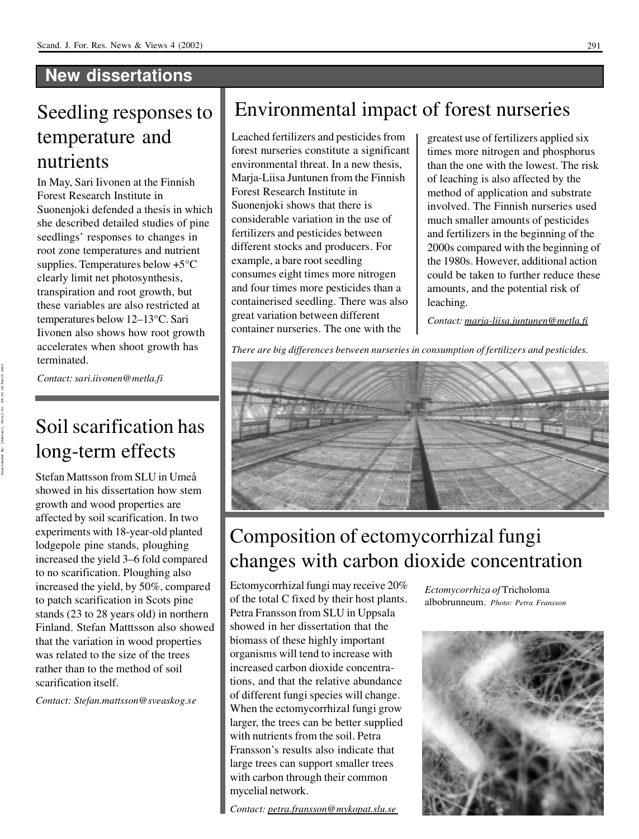#### **New dissertations**

## Seedling responses to temperature and nutrients

## Soil scarification has long-term effects

In May, Sari Iivonen at the Finnish Forest Research Institute in Suonenjoki defended a thesis in which she described detailed studies of pine seedlings' responses to changes in root zone temperatures and nutrient supplies. Temperatures below +5°C clearly limit net photosynthesis, transpiration and root growth, but these variables are also restricted at temperatures below 12–13°C. Sari Iivonen also shows how root growth accelerates when shoot growth has terminated.

*Contact:sari.iivonen@metla.fi*

Leached fertilizers and pesticides from forest nurseries constitute a significant environmental threat. In a new thesis, Marja-Liisa Juntunen from the Finnish Forest Research Institute in Suonenjoki shows that there is considerable variation in the use of fertilizers and pesticides between different stocks and producers. For example, a bare root seedling consumes eight times more nitrogen and four times more pesticides than a containerised seedling. There was also great variation between different container nurseries. The one with the

Stefan Mattsson from SLU in Umeå showed in his dissertation how stem growth and wood properties are affected by soil scarification. In two experiments with 18-year-old planted lodgepole pine stands, ploughing increased the yield 3–6 fold compared to no scarification. Ploughing also increased the yield, by 50%, compared to patch scarification in Scots pine stands (23 to 28 years old) in northern Finland. Stefan Matttsson also showed that the variation in wood properties was related to the size of the trees rather than to the method of soil scarification itself.

*Contact: Stefan.mattsson@sveaskog.se*

greatest use of fertilizers applied six times more nitrogen and phosphorus than the one with the lowest. The risk of leaching is also affected by the method of application and substrate involved. The Finnish nurseries used much smaller amounts of pesticides and fertilizers in the beginning of the 2000s compared with the beginning of the 1980s. However, additional action could be taken to further reduce these amounts, and the potential risk of leaching.

*Contact: marja-liisa.juntunen@metla.fi*



## Environmental impact of forest nurseries

## Composition of ectomycorrhizal fungi changes with carbon dioxide concentration

Ectomycorrhizal fungi may receive 20% of the total C fixed by their host plants. Petra Fransson from SLU in Uppsala showed in her dissertation that the biomass of these highly important organisms will tend to increase with increased carbon dioxide concentrations, and that the relative abundance of different fungi species will change. When the ectomycorrhizal fungi grow larger, the trees can be better supplied with nutrients from the soil. Petra Fransson's results also indicate that large trees can support smaller trees with carbon through their common mycelial network.

*Contact: petra.fransson@mykopat.slu.se*

*There are big differences between nurseries in consumption of fertilizers and pesticides.*

*Ectomycorrhiza of* Tricholoma albobrunneum*. Photo: Petra Fransson*



Downloaded By: [Hannerz, Mats] At: 08:25 28 March 2011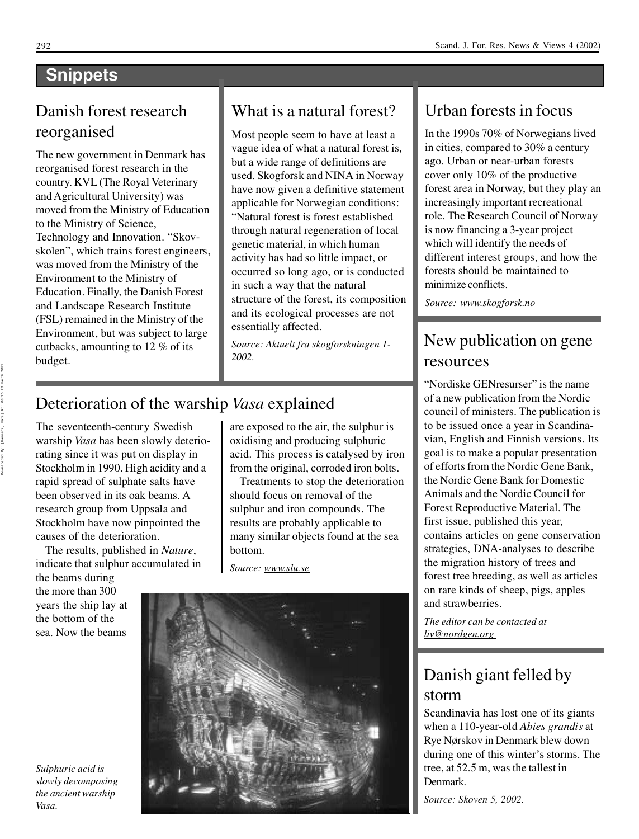### **Snippets**

#### What is a natural forest?

Most people seem to have at least a vague idea of what a natural forest is, but a wide range of definitions are used. Skogforsk and NINA in Norway have now given a definitive statement applicable for Norwegian conditions: "Natural forest is forest established through natural regeneration of local genetic material, in which human activity has had so little impact, or occurred so long ago, or is conducted in such a way that the natural structure of the forest, its composition and its ecological processes are not essentially affected.

*Source: Aktuelt fra skogforskningen 1- 2002.*

The seventeenth-century Swedish warship *Vasa* has been slowly deteriorating since it was put on display in Stockholm in 1990. High acidity and a rapid spread of sulphate salts have been observed in its oak beams. A research group from Uppsala and Stockholm have now pinpointed the causes of the deterioration. The results, published in *Nature*, indicate that sulphur accumulated in the beams during the more than 300 years the ship lay at the bottom of the sea. Now the beams

In the 1990s 70% of Norwegians lived in cities, compared to 30% a century ago. Urban or near-urban forests cover only 10% of the productive forest area in Norway, but they play an increasingly important recreational role. The Research Council of Norway is now financing a 3-year project which will identify the needs of different interest groups, and how the forests should be maintained to minimize conflicts.

#### Danish forest research reorganised

"Nordiske GENresurser" is the name of a new publication from the Nordic council of ministers. The publication is to be issued once a year in Scandina vian, English and Finnish versions. Its goal is to make a popular presentation of efforts from the Nordic Gene Bank, the Nordic Gene Bank for Domestic Animals and the Nordic Council for Forest Reproductive Material. The first issue, published this year, contains articles on gene conservation strategies, DNA-analyses to describe the migration history of trees and forest tree breeding, as well as articles on rare kinds of sheep, pigs, apples and strawberries.

The new government in Denmark has reorganised forest research in the country. KVL(The Royal Veterinary andAgricultural University) was moved from the Ministry of Education to the Ministry of Science, Technology and Innovation. "Skov skolen" , which trains forest engineers, was moved from the Ministry of the Environment to the Ministry of Education. Finally, the Danish Forest and Landscape Research Institute (FSL) remained in the Ministry of the Environment, but was subject to large cutbacks, amounting to 12 % of its budget.

### Urban forestsin focus

*Source: www.skogforsk.no*

#### Deterioration of the warship *Vasa* explained

#### New publication on gene resources

*The editor can be contacted at liv@nordgen.org*

#### Danish giant felled by storm

Scandinavia has lost one of its giants when a 110-year-old *Abies grandis* at Rye Nørskov in Denmark blew down during one of this winter's storms. The tree, at 52.5 m, was the tallest in Denmark.

*Source: Skoven 5, 2002.*

are exposed to the air, the sulphur is oxidising and producing sulphuric acid. This process is catalysed by iron from the original, corroded iron bolts.

Treatments to stop the deterioration should focus on removal of the sulphur and iron compounds. The results are probably applicable to many similar objects found at the sea bottom.

*Source: www.slu.se*



*Sulphuric acid is slowly decomposing the ancient warship Vasa.*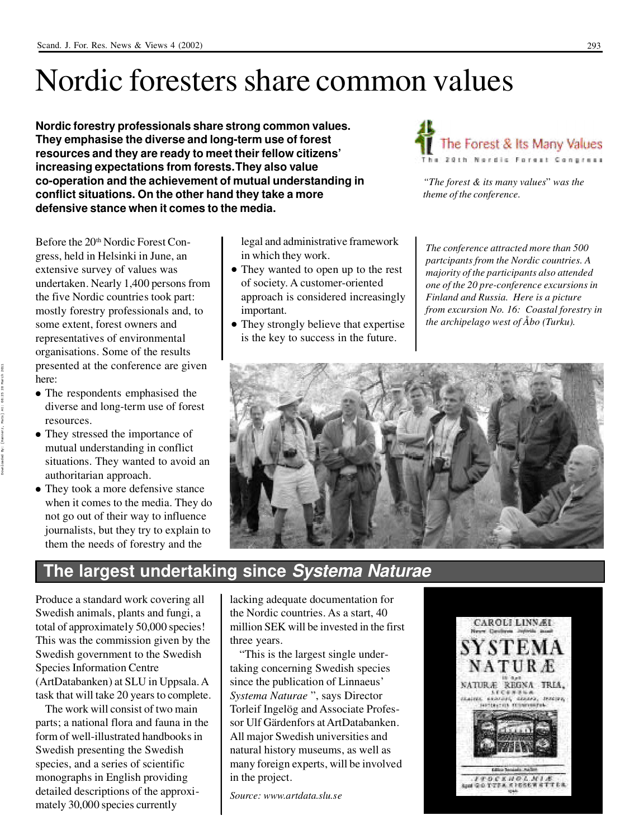## Nordic foresters share common values

Produce a standard work covering all Swedish animals, plants and fungi, a total of approximately 50,000 species! This was the commission given by the Swedish government to the Swedish Species Information Centre (ArtDatabanken) at SLU in Uppsala.A task that will take 20 years to complete.

The work will consist of two main parts; a national flora and fauna in the form of well-illustrated handbooksin Swedish presenting the Swedish species, and a series of scientific monographs in English providing detailed descriptions of the approxi mately 30,000 species currently

#### **The largest undertaking since** *Systema Naturae*

lacking adequate documentation for the Nordic countries. As a start, 40 million SEK will be invested in the first three years.

Before the 20<sup>th</sup> Nordic Forest Congress, held in Helsinki in June, an extensive survey of values was undertaken. Nearly 1,400 persons from the five Nordic countries took part: mostly forestry professionals and, to some extent, forest owners and representatives of environmental organisations. Some of the results presented at the conference are given here:

• The respondents emphasised the diverse and long-term use of forest resources.

- They stressed the importance of mutual understanding in conflict situations. They wanted to avoid an authoritarian approach.
- They took a more defensive stance when it comes to the media. They do

"This is the largest single undertaking concerning Swedish species since the publication of Linnaeus' *Systema Naturae* " , says Director Torleif Ingelög and Associate Profes sor Ulf Gärdenfors atArtDatabanken. All major Swedish universities and natural history museums, as well as many foreign experts, will be involved in the project.

*Source: www.artdata.slu.se*



- They wanted to open up to the rest of society. A customer-oriented approach is considered increasingly important.
- They strongly believe that expertise is the key to success in the future.

not go out of their way to influence journalists, but they try to explain to them the needs of forestry and the

**Nordic forestry professionals share strong common values. They emphasise the diverse and long-term use of forest resources and they are ready to meet their fellow citizens' increasing expectations from forests.They also value co-operation and the achievement of mutual understanding in conflict situations. On the other hand they take a more defensive stance when it comes to the media.**



legal and administrative framework in which they work.

*The conference attracted more than 500 partcipants from the Nordic countries. A majority of the participants also attended one of the 20 pre-conference excursions in Finland and Russia. Here is a picture from excursion No. 16: Coastal forestry in the archipelago west of Åbo (Turku).*



*"The forest & its many values*" *was the theme of the conference.*

Downloaded By: [Hannerz, Mats] At: 08:25 28 March 2011